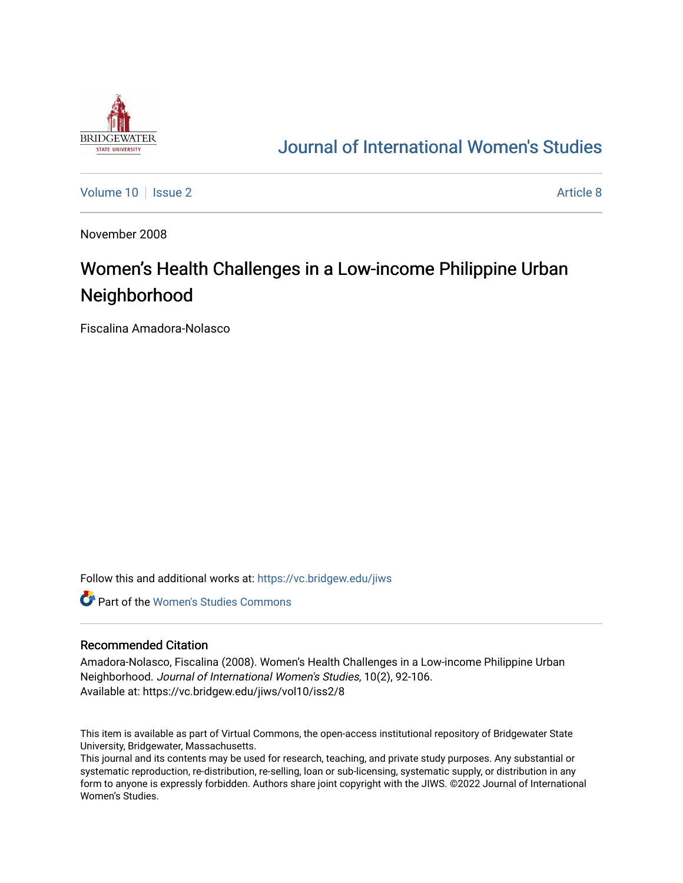

## [Journal of International Women's Studies](https://vc.bridgew.edu/jiws)

[Volume 10](https://vc.bridgew.edu/jiws/vol10) | [Issue 2](https://vc.bridgew.edu/jiws/vol10/iss2) Article 8

November 2008

# Women's Health Challenges in a Low-income Philippine Urban Neighborhood

Fiscalina Amadora-Nolasco

Follow this and additional works at: [https://vc.bridgew.edu/jiws](https://vc.bridgew.edu/jiws?utm_source=vc.bridgew.edu%2Fjiws%2Fvol10%2Fiss2%2F8&utm_medium=PDF&utm_campaign=PDFCoverPages)

**C** Part of the Women's Studies Commons

#### Recommended Citation

Amadora-Nolasco, Fiscalina (2008). Women's Health Challenges in a Low-income Philippine Urban Neighborhood. Journal of International Women's Studies, 10(2), 92-106. Available at: https://vc.bridgew.edu/jiws/vol10/iss2/8

This item is available as part of Virtual Commons, the open-access institutional repository of Bridgewater State University, Bridgewater, Massachusetts.

This journal and its contents may be used for research, teaching, and private study purposes. Any substantial or systematic reproduction, re-distribution, re-selling, loan or sub-licensing, systematic supply, or distribution in any form to anyone is expressly forbidden. Authors share joint copyright with the JIWS. ©2022 Journal of International Women's Studies.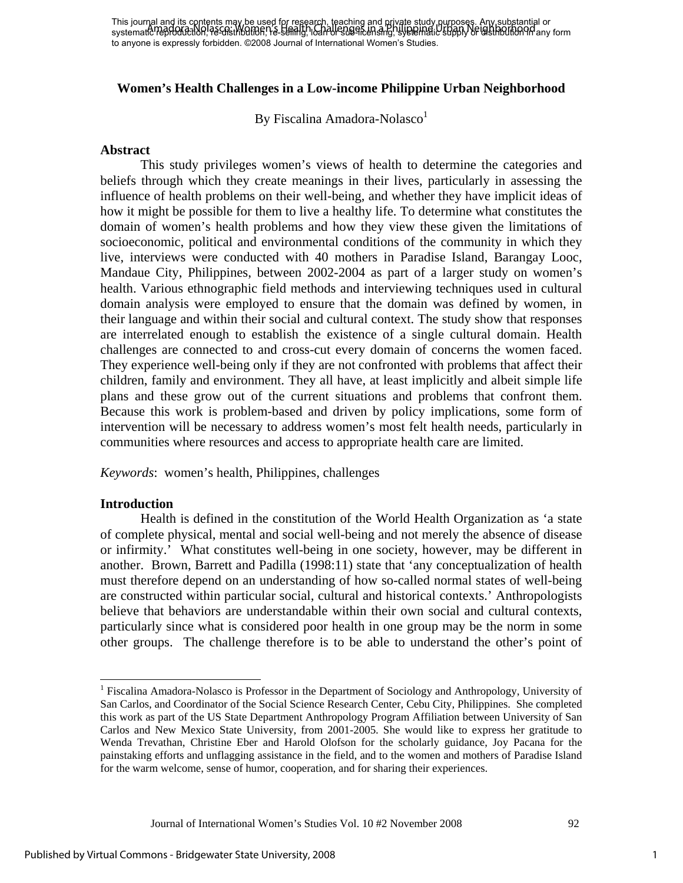### **Women's Health Challenges in a Low-income Philippine Urban Neighborhood**

By Fiscalina Amadora-Nolasco<sup>1</sup>

#### **Abstract**

This study privileges women's views of health to determine the categories and beliefs through which they create meanings in their lives, particularly in assessing the influence of health problems on their well-being, and whether they have implicit ideas of how it might be possible for them to live a healthy life. To determine what constitutes the domain of women's health problems and how they view these given the limitations of socioeconomic, political and environmental conditions of the community in which they live, interviews were conducted with 40 mothers in Paradise Island, Barangay Looc, Mandaue City, Philippines, between 2002-2004 as part of a larger study on women's health. Various ethnographic field methods and interviewing techniques used in cultural domain analysis were employed to ensure that the domain was defined by women, in their language and within their social and cultural context. The study show that responses are interrelated enough to establish the existence of a single cultural domain. Health challenges are connected to and cross-cut every domain of concerns the women faced. They experience well-being only if they are not confronted with problems that affect their children, family and environment. They all have, at least implicitly and albeit simple life plans and these grow out of the current situations and problems that confront them. Because this work is problem-based and driven by policy implications, some form of intervention will be necessary to address women's most felt health needs, particularly in communities where resources and access to appropriate health care are limited.

*Keywords*: women's health, Philippines, challenges

#### **Introduction**

 $\overline{a}$ 

Health is defined in the constitution of the World Health Organization as 'a state of complete physical, mental and social well-being and not merely the absence of disease or infirmity.' What constitutes well-being in one society, however, may be different in another. Brown, Barrett and Padilla (1998:11) state that 'any conceptualization of health must therefore depend on an understanding of how so-called normal states of well-being are constructed within particular social, cultural and historical contexts.' Anthropologists believe that behaviors are understandable within their own social and cultural contexts, particularly since what is considered poor health in one group may be the norm in some other groups. The challenge therefore is to be able to understand the other's point of

<sup>&</sup>lt;sup>1</sup> Fiscalina Amadora-Nolasco is Professor in the Department of Sociology and Anthropology, University of San Carlos, and Coordinator of the Social Science Research Center, Cebu City, Philippines. She completed this work as part of the US State Department Anthropology Program Affiliation between University of San Carlos and New Mexico State University, from 2001-2005. She would like to express her gratitude to Wenda Trevathan, Christine Eber and Harold Olofson for the scholarly guidance, Joy Pacana for the painstaking efforts and unflagging assistance in the field, and to the women and mothers of Paradise Island for the warm welcome, sense of humor, cooperation, and for sharing their experiences.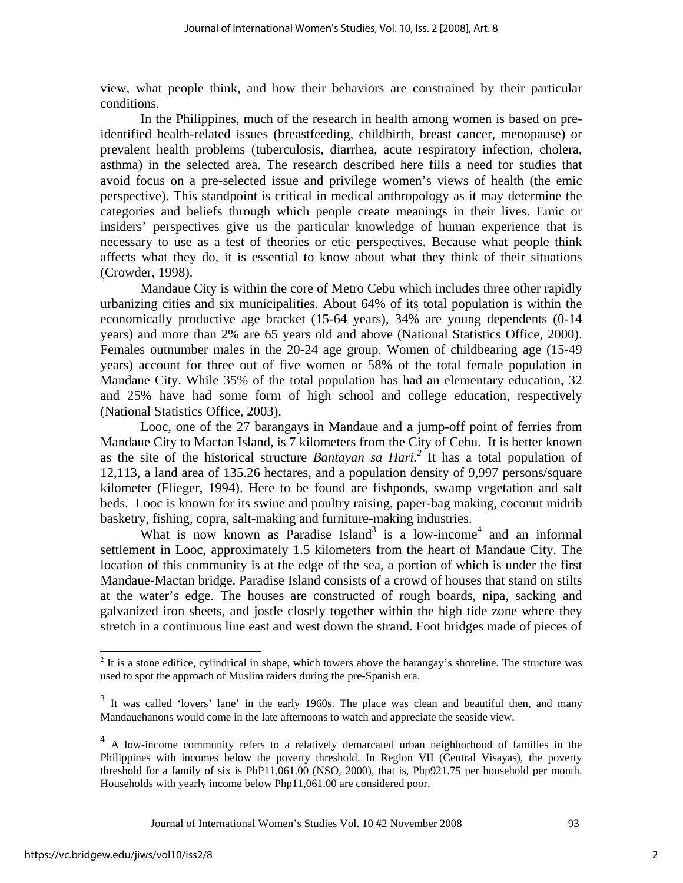view, what people think, and how their behaviors are constrained by their particular conditions.

In the Philippines, much of the research in health among women is based on preidentified health-related issues (breastfeeding, childbirth, breast cancer, menopause) or prevalent health problems (tuberculosis, diarrhea, acute respiratory infection, cholera, asthma) in the selected area. The research described here fills a need for studies that avoid focus on a pre-selected issue and privilege women's views of health (the emic perspective). This standpoint is critical in medical anthropology as it may determine the categories and beliefs through which people create meanings in their lives. Emic or insiders' perspectives give us the particular knowledge of human experience that is necessary to use as a test of theories or etic perspectives. Because what people think affects what they do, it is essential to know about what they think of their situations (Crowder, 1998).

Mandaue City is within the core of Metro Cebu which includes three other rapidly urbanizing cities and six municipalities. About 64% of its total population is within the economically productive age bracket (15-64 years), 34% are young dependents (0-14 years) and more than 2% are 65 years old and above (National Statistics Office, 2000). Females outnumber males in the 20-24 age group. Women of childbearing age (15-49 years) account for three out of five women or 58% of the total female population in Mandaue City. While 35% of the total population has had an elementary education, 32 and 25% have had some form of high school and college education, respectively (National Statistics Office, 2003).

Looc, one of the 27 barangays in Mandaue and a jump-off point of ferries from Mandaue City to Mactan Island, is 7 kilometers from the City of Cebu. It is better known as the site of the historical structure *Bantayan sa Hari.2* It has a total population of 12,113, a land area of 135.26 hectares, and a population density of 9,997 persons/square kilometer (Flieger, 1994). Here to be found are fishponds, swamp vegetation and salt beds. Looc is known for its swine and poultry raising, paper-bag making, coconut midrib basketry, fishing, copra, salt-making and furniture-making industries.

What is now known as Paradise Island<sup>3</sup> is a low-income<sup>4</sup> and an informal settlement in Looc, approximately 1.5 kilometers from the heart of Mandaue City. The location of this community is at the edge of the sea, a portion of which is under the first Mandaue-Mactan bridge. Paradise Island consists of a crowd of houses that stand on stilts at the water's edge. The houses are constructed of rough boards, nipa, sacking and galvanized iron sheets, and jostle closely together within the high tide zone where they stretch in a continuous line east and west down the strand. Foot bridges made of pieces of

Journal of International Women's Studies Vol. 10 #2 November 2008 93

<sup>&</sup>lt;sup>2</sup> It is a stone edifice, cylindrical in shape, which towers above the barangay's shoreline. The structure was used to spot the approach of Muslim raiders during the pre-Spanish era.

 $3$  It was called 'lovers' lane' in the early 1960s. The place was clean and beautiful then, and many Mandauehanons would come in the late afternoons to watch and appreciate the seaside view.

<sup>&</sup>lt;sup>4</sup> A low-income community refers to a relatively demarcated urban neighborhood of families in the Philippines with incomes below the poverty threshold. In Region VII (Central Visayas), the poverty threshold for a family of six is PhP11,061.00 (NSO, 2000), that is, Php921.75 per household per month. Households with yearly income below Php11,061.00 are considered poor.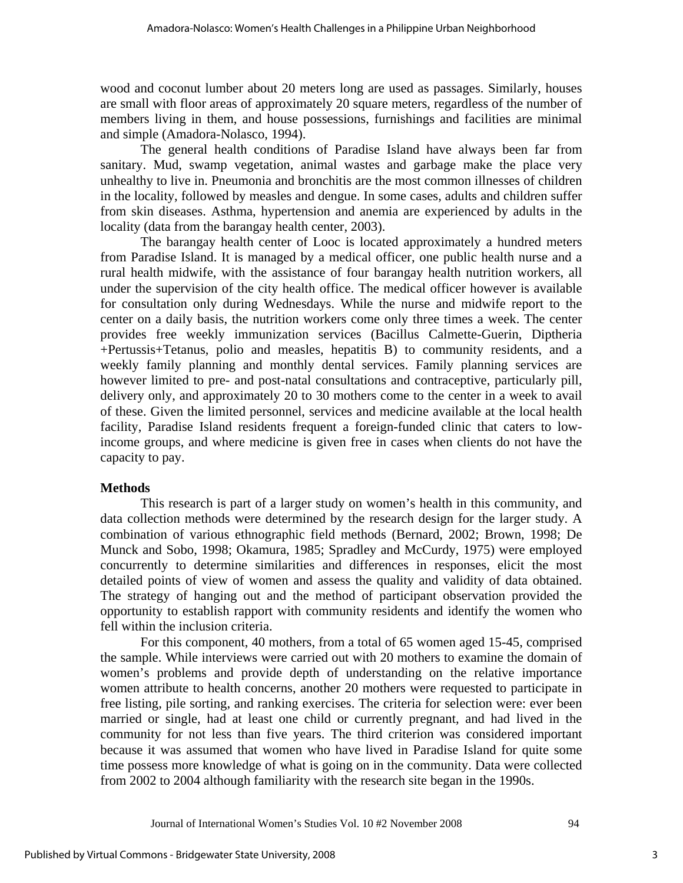wood and coconut lumber about 20 meters long are used as passages. Similarly, houses are small with floor areas of approximately 20 square meters, regardless of the number of members living in them, and house possessions, furnishings and facilities are minimal and simple (Amadora-Nolasco, 1994).

The general health conditions of Paradise Island have always been far from sanitary. Mud, swamp vegetation, animal wastes and garbage make the place very unhealthy to live in. Pneumonia and bronchitis are the most common illnesses of children in the locality, followed by measles and dengue. In some cases, adults and children suffer from skin diseases. Asthma, hypertension and anemia are experienced by adults in the locality (data from the barangay health center, 2003).

The barangay health center of Looc is located approximately a hundred meters from Paradise Island. It is managed by a medical officer, one public health nurse and a rural health midwife, with the assistance of four barangay health nutrition workers, all under the supervision of the city health office. The medical officer however is available for consultation only during Wednesdays. While the nurse and midwife report to the center on a daily basis, the nutrition workers come only three times a week. The center provides free weekly immunization services (Bacillus Calmette-Guerin, Diptheria +Pertussis+Tetanus, polio and measles, hepatitis B) to community residents, and a weekly family planning and monthly dental services. Family planning services are however limited to pre- and post-natal consultations and contraceptive, particularly pill, delivery only, and approximately 20 to 30 mothers come to the center in a week to avail of these. Given the limited personnel, services and medicine available at the local health facility, Paradise Island residents frequent a foreign-funded clinic that caters to lowincome groups, and where medicine is given free in cases when clients do not have the capacity to pay.

## **Methods**

This research is part of a larger study on women's health in this community, and data collection methods were determined by the research design for the larger study. A combination of various ethnographic field methods (Bernard, 2002; Brown, 1998; De Munck and Sobo, 1998; Okamura, 1985; Spradley and McCurdy, 1975) were employed concurrently to determine similarities and differences in responses, elicit the most detailed points of view of women and assess the quality and validity of data obtained. The strategy of hanging out and the method of participant observation provided the opportunity to establish rapport with community residents and identify the women who fell within the inclusion criteria.

For this component, 40 mothers, from a total of 65 women aged 15-45, comprised the sample. While interviews were carried out with 20 mothers to examine the domain of women's problems and provide depth of understanding on the relative importance women attribute to health concerns, another 20 mothers were requested to participate in free listing, pile sorting, and ranking exercises. The criteria for selection were: ever been married or single, had at least one child or currently pregnant, and had lived in the community for not less than five years. The third criterion was considered important because it was assumed that women who have lived in Paradise Island for quite some time possess more knowledge of what is going on in the community. Data were collected from 2002 to 2004 although familiarity with the research site began in the 1990s.

Journal of International Women's Studies Vol. 10 #2 November 2008 94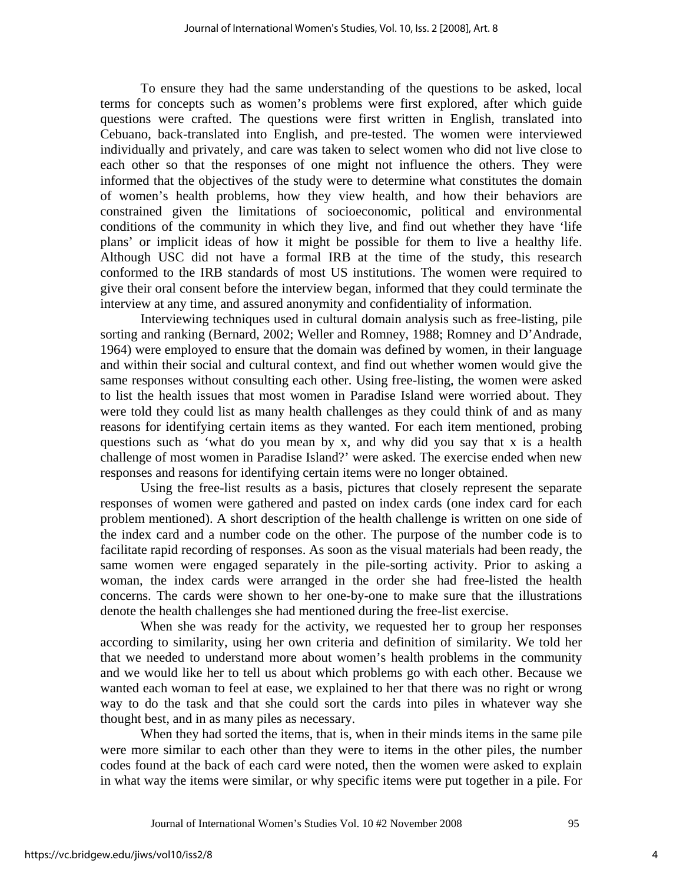To ensure they had the same understanding of the questions to be asked, local terms for concepts such as women's problems were first explored, after which guide questions were crafted. The questions were first written in English, translated into Cebuano, back-translated into English, and pre-tested. The women were interviewed individually and privately, and care was taken to select women who did not live close to each other so that the responses of one might not influence the others. They were informed that the objectives of the study were to determine what constitutes the domain of women's health problems, how they view health, and how their behaviors are constrained given the limitations of socioeconomic, political and environmental conditions of the community in which they live, and find out whether they have 'life plans' or implicit ideas of how it might be possible for them to live a healthy life. Although USC did not have a formal IRB at the time of the study, this research conformed to the IRB standards of most US institutions. The women were required to give their oral consent before the interview began, informed that they could terminate the interview at any time, and assured anonymity and confidentiality of information.

Interviewing techniques used in cultural domain analysis such as free-listing, pile sorting and ranking (Bernard, 2002; Weller and Romney, 1988; Romney and D'Andrade, 1964) were employed to ensure that the domain was defined by women, in their language and within their social and cultural context, and find out whether women would give the same responses without consulting each other. Using free-listing, the women were asked to list the health issues that most women in Paradise Island were worried about. They were told they could list as many health challenges as they could think of and as many reasons for identifying certain items as they wanted. For each item mentioned, probing questions such as 'what do you mean by x, and why did you say that x is a health challenge of most women in Paradise Island?' were asked. The exercise ended when new responses and reasons for identifying certain items were no longer obtained.

Using the free-list results as a basis, pictures that closely represent the separate responses of women were gathered and pasted on index cards (one index card for each problem mentioned). A short description of the health challenge is written on one side of the index card and a number code on the other. The purpose of the number code is to facilitate rapid recording of responses. As soon as the visual materials had been ready, the same women were engaged separately in the pile-sorting activity. Prior to asking a woman, the index cards were arranged in the order she had free-listed the health concerns. The cards were shown to her one-by-one to make sure that the illustrations denote the health challenges she had mentioned during the free-list exercise.

When she was ready for the activity, we requested her to group her responses according to similarity, using her own criteria and definition of similarity. We told her that we needed to understand more about women's health problems in the community and we would like her to tell us about which problems go with each other. Because we wanted each woman to feel at ease, we explained to her that there was no right or wrong way to do the task and that she could sort the cards into piles in whatever way she thought best, and in as many piles as necessary.

When they had sorted the items, that is, when in their minds items in the same pile were more similar to each other than they were to items in the other piles, the number codes found at the back of each card were noted, then the women were asked to explain in what way the items were similar, or why specific items were put together in a pile. For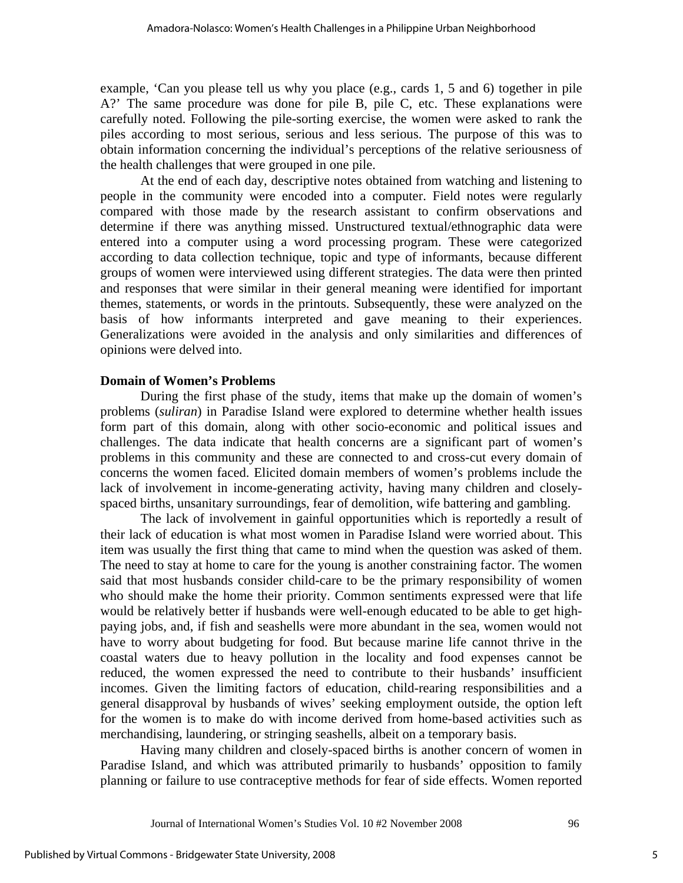example, 'Can you please tell us why you place (e.g., cards 1, 5 and 6) together in pile A?' The same procedure was done for pile B, pile C, etc. These explanations were carefully noted. Following the pile-sorting exercise, the women were asked to rank the piles according to most serious, serious and less serious. The purpose of this was to obtain information concerning the individual's perceptions of the relative seriousness of the health challenges that were grouped in one pile.

At the end of each day, descriptive notes obtained from watching and listening to people in the community were encoded into a computer. Field notes were regularly compared with those made by the research assistant to confirm observations and determine if there was anything missed. Unstructured textual/ethnographic data were entered into a computer using a word processing program. These were categorized according to data collection technique, topic and type of informants, because different groups of women were interviewed using different strategies. The data were then printed and responses that were similar in their general meaning were identified for important themes, statements, or words in the printouts. Subsequently, these were analyzed on the basis of how informants interpreted and gave meaning to their experiences. Generalizations were avoided in the analysis and only similarities and differences of opinions were delved into.

### **Domain of Women's Problems**

During the first phase of the study, items that make up the domain of women's problems (*suliran*) in Paradise Island were explored to determine whether health issues form part of this domain, along with other socio-economic and political issues and challenges. The data indicate that health concerns are a significant part of women's problems in this community and these are connected to and cross-cut every domain of concerns the women faced. Elicited domain members of women's problems include the lack of involvement in income-generating activity, having many children and closelyspaced births, unsanitary surroundings, fear of demolition, wife battering and gambling.

 The lack of involvement in gainful opportunities which is reportedly a result of their lack of education is what most women in Paradise Island were worried about. This item was usually the first thing that came to mind when the question was asked of them. The need to stay at home to care for the young is another constraining factor. The women said that most husbands consider child-care to be the primary responsibility of women who should make the home their priority. Common sentiments expressed were that life would be relatively better if husbands were well-enough educated to be able to get highpaying jobs, and, if fish and seashells were more abundant in the sea, women would not have to worry about budgeting for food. But because marine life cannot thrive in the coastal waters due to heavy pollution in the locality and food expenses cannot be reduced, the women expressed the need to contribute to their husbands' insufficient incomes. Given the limiting factors of education, child-rearing responsibilities and a general disapproval by husbands of wives' seeking employment outside, the option left for the women is to make do with income derived from home-based activities such as merchandising, laundering, or stringing seashells, albeit on a temporary basis.

 Having many children and closely-spaced births is another concern of women in Paradise Island, and which was attributed primarily to husbands' opposition to family planning or failure to use contraceptive methods for fear of side effects. Women reported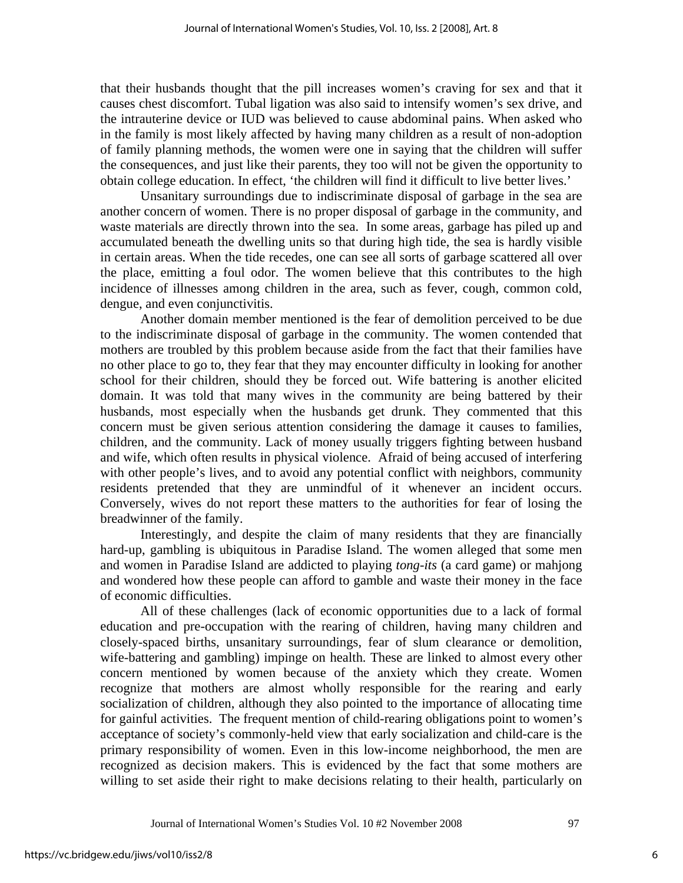that their husbands thought that the pill increases women's craving for sex and that it causes chest discomfort. Tubal ligation was also said to intensify women's sex drive, and the intrauterine device or IUD was believed to cause abdominal pains. When asked who in the family is most likely affected by having many children as a result of non-adoption of family planning methods, the women were one in saying that the children will suffer the consequences, and just like their parents, they too will not be given the opportunity to obtain college education. In effect, 'the children will find it difficult to live better lives.'

Unsanitary surroundings due to indiscriminate disposal of garbage in the sea are another concern of women. There is no proper disposal of garbage in the community, and waste materials are directly thrown into the sea. In some areas, garbage has piled up and accumulated beneath the dwelling units so that during high tide, the sea is hardly visible in certain areas. When the tide recedes, one can see all sorts of garbage scattered all over the place, emitting a foul odor. The women believe that this contributes to the high incidence of illnesses among children in the area, such as fever, cough, common cold, dengue, and even conjunctivitis.

Another domain member mentioned is the fear of demolition perceived to be due to the indiscriminate disposal of garbage in the community. The women contended that mothers are troubled by this problem because aside from the fact that their families have no other place to go to, they fear that they may encounter difficulty in looking for another school for their children, should they be forced out. Wife battering is another elicited domain. It was told that many wives in the community are being battered by their husbands, most especially when the husbands get drunk. They commented that this concern must be given serious attention considering the damage it causes to families, children, and the community. Lack of money usually triggers fighting between husband and wife, which often results in physical violence. Afraid of being accused of interfering with other people's lives, and to avoid any potential conflict with neighbors, community residents pretended that they are unmindful of it whenever an incident occurs. Conversely, wives do not report these matters to the authorities for fear of losing the breadwinner of the family.

Interestingly, and despite the claim of many residents that they are financially hard-up, gambling is ubiquitous in Paradise Island. The women alleged that some men and women in Paradise Island are addicted to playing *tong-its* (a card game) or mahjong and wondered how these people can afford to gamble and waste their money in the face of economic difficulties.

 All of these challenges (lack of economic opportunities due to a lack of formal education and pre-occupation with the rearing of children, having many children and closely-spaced births, unsanitary surroundings, fear of slum clearance or demolition, wife-battering and gambling) impinge on health. These are linked to almost every other concern mentioned by women because of the anxiety which they create. Women recognize that mothers are almost wholly responsible for the rearing and early socialization of children, although they also pointed to the importance of allocating time for gainful activities. The frequent mention of child-rearing obligations point to women's acceptance of society's commonly-held view that early socialization and child-care is the primary responsibility of women. Even in this low-income neighborhood, the men are recognized as decision makers. This is evidenced by the fact that some mothers are willing to set aside their right to make decisions relating to their health, particularly on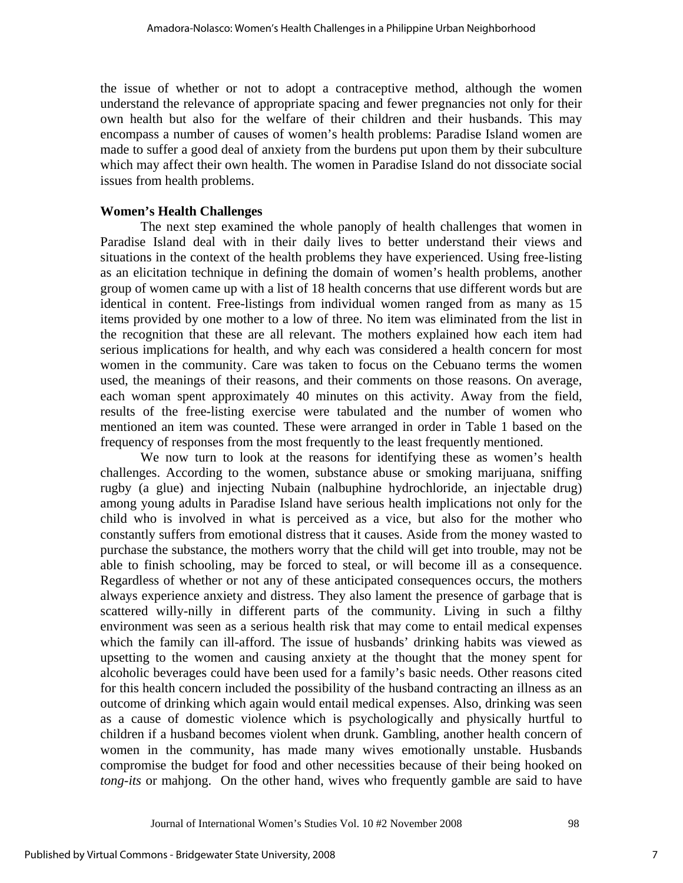the issue of whether or not to adopt a contraceptive method, although the women understand the relevance of appropriate spacing and fewer pregnancies not only for their own health but also for the welfare of their children and their husbands. This may encompass a number of causes of women's health problems: Paradise Island women are made to suffer a good deal of anxiety from the burdens put upon them by their subculture which may affect their own health. The women in Paradise Island do not dissociate social issues from health problems.

### **Women's Health Challenges**

The next step examined the whole panoply of health challenges that women in Paradise Island deal with in their daily lives to better understand their views and situations in the context of the health problems they have experienced. Using free-listing as an elicitation technique in defining the domain of women's health problems, another group of women came up with a list of 18 health concerns that use different words but are identical in content. Free-listings from individual women ranged from as many as 15 items provided by one mother to a low of three. No item was eliminated from the list in the recognition that these are all relevant. The mothers explained how each item had serious implications for health, and why each was considered a health concern for most women in the community. Care was taken to focus on the Cebuano terms the women used, the meanings of their reasons, and their comments on those reasons. On average, each woman spent approximately 40 minutes on this activity. Away from the field, results of the free-listing exercise were tabulated and the number of women who mentioned an item was counted. These were arranged in order in Table 1 based on the frequency of responses from the most frequently to the least frequently mentioned.

We now turn to look at the reasons for identifying these as women's health challenges. According to the women, substance abuse or smoking marijuana, sniffing rugby (a glue) and injecting Nubain (nalbuphine hydrochloride, an injectable drug) among young adults in Paradise Island have serious health implications not only for the child who is involved in what is perceived as a vice, but also for the mother who constantly suffers from emotional distress that it causes. Aside from the money wasted to purchase the substance, the mothers worry that the child will get into trouble, may not be able to finish schooling, may be forced to steal, or will become ill as a consequence. Regardless of whether or not any of these anticipated consequences occurs, the mothers always experience anxiety and distress. They also lament the presence of garbage that is scattered willy-nilly in different parts of the community. Living in such a filthy environment was seen as a serious health risk that may come to entail medical expenses which the family can ill-afford. The issue of husbands' drinking habits was viewed as upsetting to the women and causing anxiety at the thought that the money spent for alcoholic beverages could have been used for a family's basic needs. Other reasons cited for this health concern included the possibility of the husband contracting an illness as an outcome of drinking which again would entail medical expenses. Also, drinking was seen as a cause of domestic violence which is psychologically and physically hurtful to children if a husband becomes violent when drunk. Gambling, another health concern of women in the community, has made many wives emotionally unstable. Husbands compromise the budget for food and other necessities because of their being hooked on *tong-its* or mahjong. On the other hand, wives who frequently gamble are said to have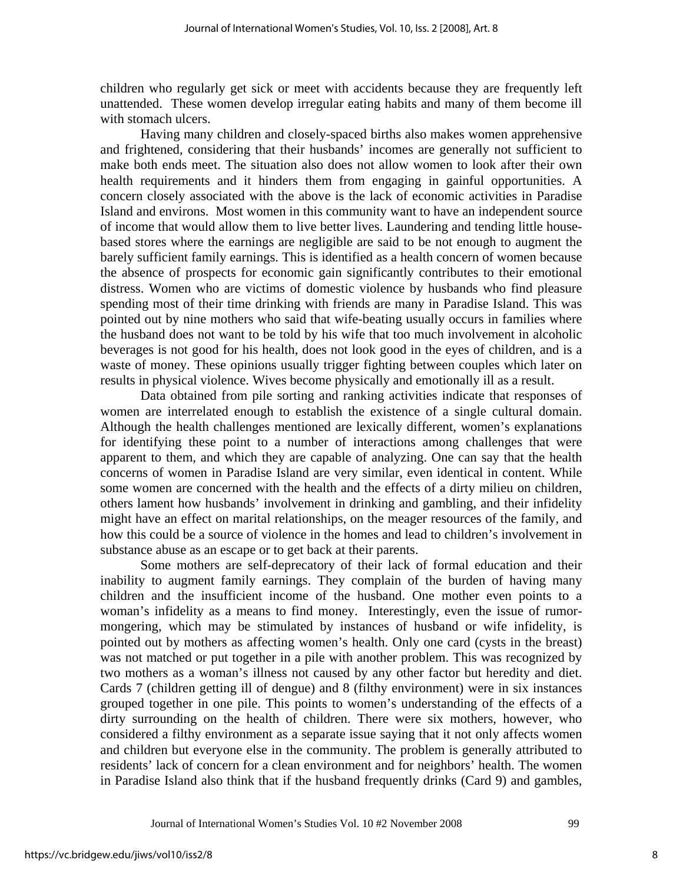children who regularly get sick or meet with accidents because they are frequently left unattended. These women develop irregular eating habits and many of them become ill with stomach ulcers.

Having many children and closely-spaced births also makes women apprehensive and frightened, considering that their husbands' incomes are generally not sufficient to make both ends meet. The situation also does not allow women to look after their own health requirements and it hinders them from engaging in gainful opportunities. A concern closely associated with the above is the lack of economic activities in Paradise Island and environs. Most women in this community want to have an independent source of income that would allow them to live better lives. Laundering and tending little housebased stores where the earnings are negligible are said to be not enough to augment the barely sufficient family earnings. This is identified as a health concern of women because the absence of prospects for economic gain significantly contributes to their emotional distress. Women who are victims of domestic violence by husbands who find pleasure spending most of their time drinking with friends are many in Paradise Island. This was pointed out by nine mothers who said that wife-beating usually occurs in families where the husband does not want to be told by his wife that too much involvement in alcoholic beverages is not good for his health, does not look good in the eyes of children, and is a waste of money. These opinions usually trigger fighting between couples which later on results in physical violence. Wives become physically and emotionally ill as a result.

Data obtained from pile sorting and ranking activities indicate that responses of women are interrelated enough to establish the existence of a single cultural domain. Although the health challenges mentioned are lexically different, women's explanations for identifying these point to a number of interactions among challenges that were apparent to them, and which they are capable of analyzing. One can say that the health concerns of women in Paradise Island are very similar, even identical in content. While some women are concerned with the health and the effects of a dirty milieu on children, others lament how husbands' involvement in drinking and gambling, and their infidelity might have an effect on marital relationships, on the meager resources of the family, and how this could be a source of violence in the homes and lead to children's involvement in substance abuse as an escape or to get back at their parents.

Some mothers are self-deprecatory of their lack of formal education and their inability to augment family earnings. They complain of the burden of having many children and the insufficient income of the husband. One mother even points to a woman's infidelity as a means to find money. Interestingly, even the issue of rumormongering, which may be stimulated by instances of husband or wife infidelity, is pointed out by mothers as affecting women's health. Only one card (cysts in the breast) was not matched or put together in a pile with another problem. This was recognized by two mothers as a woman's illness not caused by any other factor but heredity and diet. Cards 7 (children getting ill of dengue) and 8 (filthy environment) were in six instances grouped together in one pile. This points to women's understanding of the effects of a dirty surrounding on the health of children. There were six mothers, however, who considered a filthy environment as a separate issue saying that it not only affects women and children but everyone else in the community. The problem is generally attributed to residents' lack of concern for a clean environment and for neighbors' health. The women in Paradise Island also think that if the husband frequently drinks (Card 9) and gambles,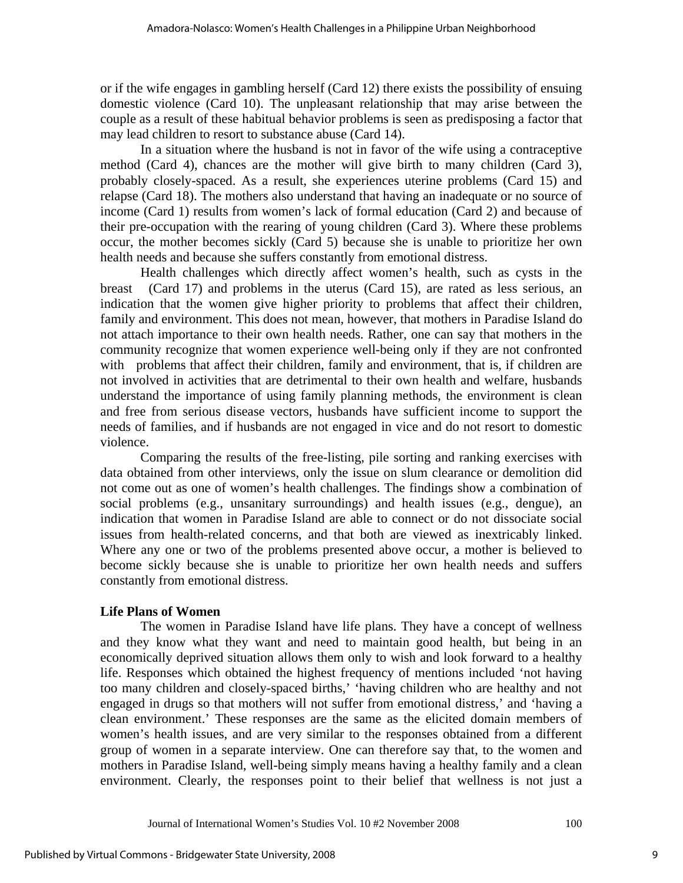or if the wife engages in gambling herself (Card 12) there exists the possibility of ensuing domestic violence (Card 10). The unpleasant relationship that may arise between the couple as a result of these habitual behavior problems is seen as predisposing a factor that may lead children to resort to substance abuse (Card 14).

In a situation where the husband is not in favor of the wife using a contraceptive method (Card 4), chances are the mother will give birth to many children (Card 3), probably closely-spaced. As a result, she experiences uterine problems (Card 15) and relapse (Card 18). The mothers also understand that having an inadequate or no source of income (Card 1) results from women's lack of formal education (Card 2) and because of their pre-occupation with the rearing of young children (Card 3). Where these problems occur, the mother becomes sickly (Card 5) because she is unable to prioritize her own health needs and because she suffers constantly from emotional distress.

Health challenges which directly affect women's health, such as cysts in the breast (Card 17) and problems in the uterus (Card 15), are rated as less serious, an indication that the women give higher priority to problems that affect their children, family and environment. This does not mean, however, that mothers in Paradise Island do not attach importance to their own health needs. Rather, one can say that mothers in the community recognize that women experience well-being only if they are not confronted with problems that affect their children, family and environment, that is, if children are not involved in activities that are detrimental to their own health and welfare, husbands understand the importance of using family planning methods, the environment is clean and free from serious disease vectors, husbands have sufficient income to support the needs of families, and if husbands are not engaged in vice and do not resort to domestic violence.

Comparing the results of the free-listing, pile sorting and ranking exercises with data obtained from other interviews, only the issue on slum clearance or demolition did not come out as one of women's health challenges. The findings show a combination of social problems (e.g., unsanitary surroundings) and health issues (e.g., dengue), an indication that women in Paradise Island are able to connect or do not dissociate social issues from health-related concerns, and that both are viewed as inextricably linked. Where any one or two of the problems presented above occur, a mother is believed to become sickly because she is unable to prioritize her own health needs and suffers constantly from emotional distress.

## **Life Plans of Women**

The women in Paradise Island have life plans. They have a concept of wellness and they know what they want and need to maintain good health, but being in an economically deprived situation allows them only to wish and look forward to a healthy life. Responses which obtained the highest frequency of mentions included 'not having too many children and closely-spaced births,' 'having children who are healthy and not engaged in drugs so that mothers will not suffer from emotional distress,' and 'having a clean environment.' These responses are the same as the elicited domain members of women's health issues, and are very similar to the responses obtained from a different group of women in a separate interview. One can therefore say that, to the women and mothers in Paradise Island, well-being simply means having a healthy family and a clean environment. Clearly, the responses point to their belief that wellness is not just a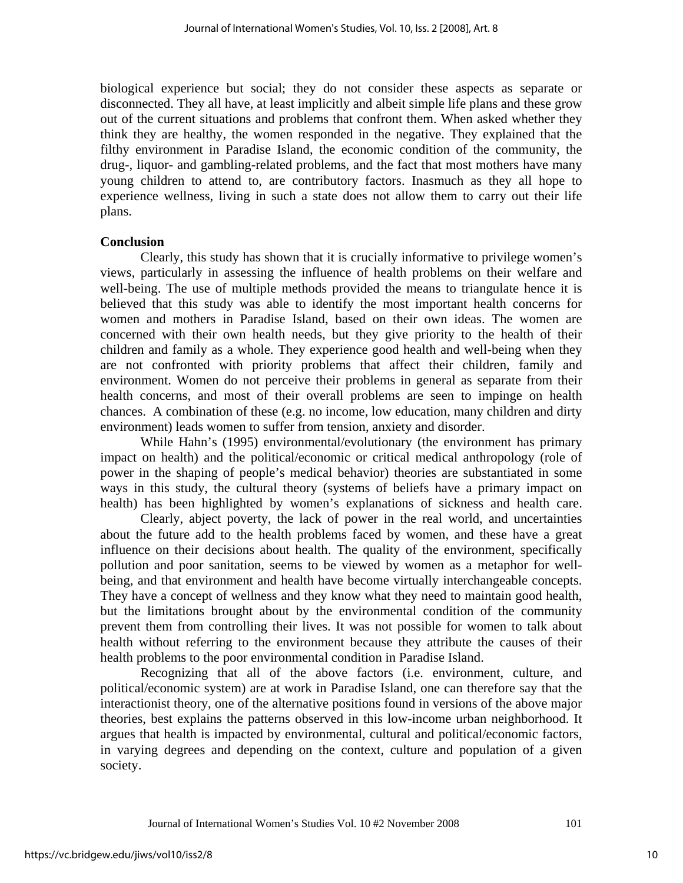biological experience but social; they do not consider these aspects as separate or disconnected. They all have, at least implicitly and albeit simple life plans and these grow out of the current situations and problems that confront them. When asked whether they think they are healthy, the women responded in the negative. They explained that the filthy environment in Paradise Island, the economic condition of the community, the drug-, liquor- and gambling-related problems, and the fact that most mothers have many young children to attend to, are contributory factors. Inasmuch as they all hope to experience wellness, living in such a state does not allow them to carry out their life plans.

### **Conclusion**

Clearly, this study has shown that it is crucially informative to privilege women's views, particularly in assessing the influence of health problems on their welfare and well-being. The use of multiple methods provided the means to triangulate hence it is believed that this study was able to identify the most important health concerns for women and mothers in Paradise Island, based on their own ideas. The women are concerned with their own health needs, but they give priority to the health of their children and family as a whole. They experience good health and well-being when they are not confronted with priority problems that affect their children, family and environment. Women do not perceive their problems in general as separate from their health concerns, and most of their overall problems are seen to impinge on health chances. A combination of these (e.g. no income, low education, many children and dirty environment) leads women to suffer from tension, anxiety and disorder.

 While Hahn's (1995) environmental/evolutionary (the environment has primary impact on health) and the political/economic or critical medical anthropology (role of power in the shaping of people's medical behavior) theories are substantiated in some ways in this study, the cultural theory (systems of beliefs have a primary impact on health) has been highlighted by women's explanations of sickness and health care.

 Clearly, abject poverty, the lack of power in the real world, and uncertainties about the future add to the health problems faced by women, and these have a great influence on their decisions about health. The quality of the environment, specifically pollution and poor sanitation, seems to be viewed by women as a metaphor for wellbeing, and that environment and health have become virtually interchangeable concepts. They have a concept of wellness and they know what they need to maintain good health, but the limitations brought about by the environmental condition of the community prevent them from controlling their lives. It was not possible for women to talk about health without referring to the environment because they attribute the causes of their health problems to the poor environmental condition in Paradise Island.

Recognizing that all of the above factors (i.e. environment, culture, and political/economic system) are at work in Paradise Island, one can therefore say that the interactionist theory, one of the alternative positions found in versions of the above major theories, best explains the patterns observed in this low-income urban neighborhood. It argues that health is impacted by environmental, cultural and political/economic factors, in varying degrees and depending on the context, culture and population of a given society.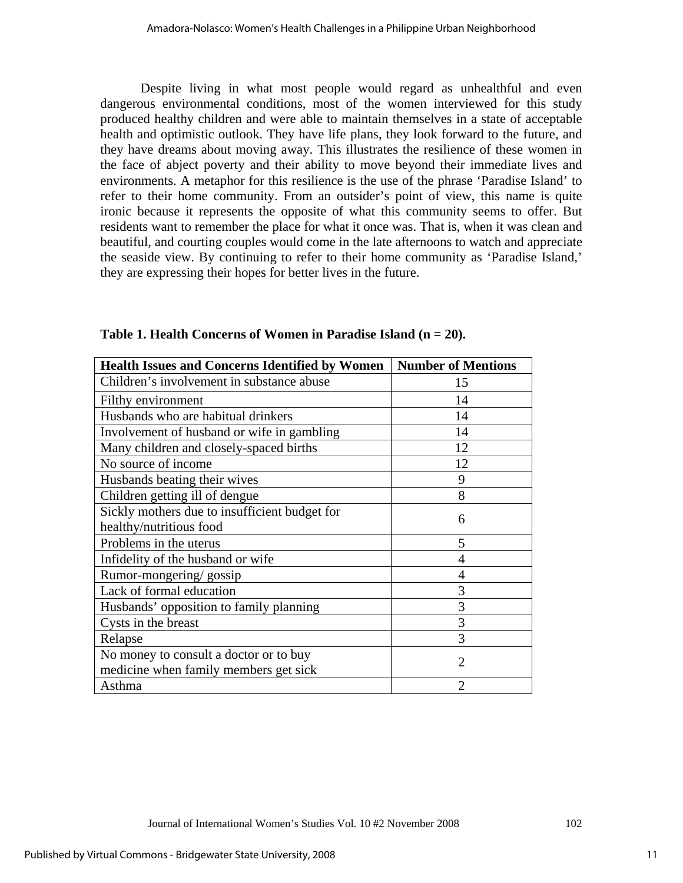Despite living in what most people would regard as unhealthful and even dangerous environmental conditions, most of the women interviewed for this study produced healthy children and were able to maintain themselves in a state of acceptable health and optimistic outlook. They have life plans, they look forward to the future, and they have dreams about moving away. This illustrates the resilience of these women in the face of abject poverty and their ability to move beyond their immediate lives and environments. A metaphor for this resilience is the use of the phrase 'Paradise Island' to refer to their home community. From an outsider's point of view, this name is quite ironic because it represents the opposite of what this community seems to offer. But residents want to remember the place for what it once was. That is, when it was clean and beautiful, and courting couples would come in the late afternoons to watch and appreciate the seaside view. By continuing to refer to their home community as 'Paradise Island,' they are expressing their hopes for better lives in the future.

| <b>Health Issues and Concerns Identified by Women</b> | <b>Number of Mentions</b> |  |  |  |
|-------------------------------------------------------|---------------------------|--|--|--|
| Children's involvement in substance abuse             | 15                        |  |  |  |
| Filthy environment                                    | 14                        |  |  |  |
| Husbands who are habitual drinkers                    | 14                        |  |  |  |
| Involvement of husband or wife in gambling            | 14                        |  |  |  |
| Many children and closely-spaced births               | 12                        |  |  |  |
| No source of income                                   | 12                        |  |  |  |
| Husbands beating their wives                          | 9                         |  |  |  |
| Children getting ill of dengue                        | 8                         |  |  |  |
| Sickly mothers due to insufficient budget for         | 6                         |  |  |  |
| healthy/nutritious food                               |                           |  |  |  |
| Problems in the uterus                                | 5                         |  |  |  |
| Infidelity of the husband or wife                     | $\overline{4}$            |  |  |  |
| Rumor-mongering/gossip                                | 4                         |  |  |  |
| Lack of formal education                              | 3                         |  |  |  |
| Husbands' opposition to family planning               | 3                         |  |  |  |
| Cysts in the breast                                   | 3                         |  |  |  |
| Relapse                                               | 3                         |  |  |  |
| No money to consult a doctor or to buy                | 2                         |  |  |  |
| medicine when family members get sick                 |                           |  |  |  |
| Asthma                                                | $\overline{2}$            |  |  |  |

**Table 1. Health Concerns of Women in Paradise Island (n = 20).**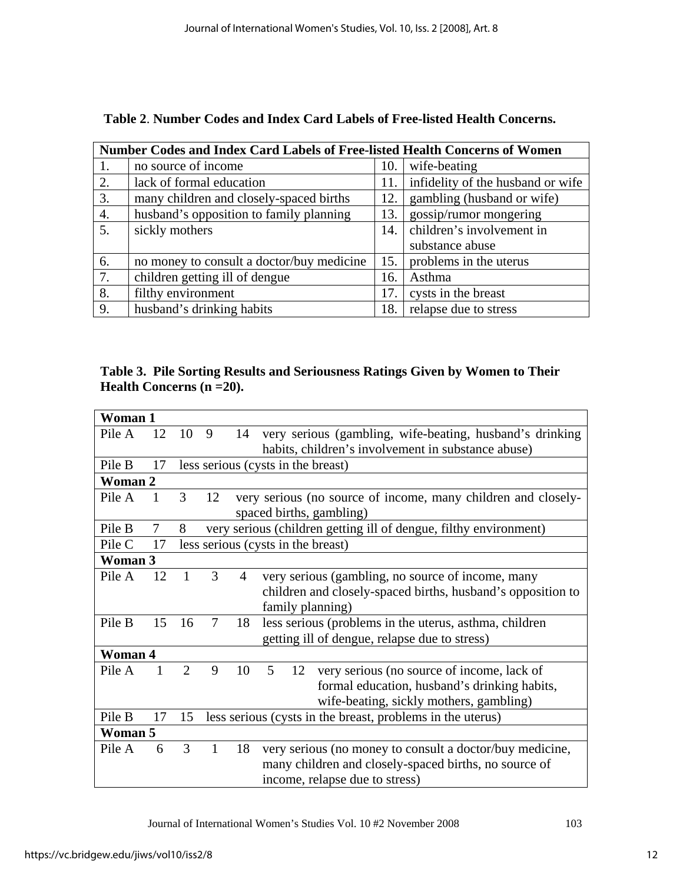| Number Codes and Index Card Labels of Free-listed Health Concerns of Women |                                           |     |                                   |  |  |  |
|----------------------------------------------------------------------------|-------------------------------------------|-----|-----------------------------------|--|--|--|
| 1.                                                                         | no source of income                       | 10. | wife-beating                      |  |  |  |
| 2.                                                                         | lack of formal education                  | 11. | infidelity of the husband or wife |  |  |  |
| 3.                                                                         | many children and closely-spaced births   | 12. | gambling (husband or wife)        |  |  |  |
| 4.                                                                         | husband's opposition to family planning   | 13. | gossip/rumor mongering            |  |  |  |
| 5.                                                                         | sickly mothers                            | 14. | children's involvement in         |  |  |  |
|                                                                            |                                           |     | substance abuse                   |  |  |  |
| 6.                                                                         | no money to consult a doctor/buy medicine | 15. | problems in the uterus            |  |  |  |
| 7.                                                                         | children getting ill of dengue            | 16. | Asthma                            |  |  |  |
| 8.                                                                         | filthy environment                        | 17. | cysts in the breast               |  |  |  |
| 9.                                                                         | husband's drinking habits                 | 18. | relapse due to stress             |  |  |  |

| Table 2. Number Codes and Index Card Labels of Free-listed Health Concerns. |  |  |  |
|-----------------------------------------------------------------------------|--|--|--|
|-----------------------------------------------------------------------------|--|--|--|

**Table 3. Pile Sorting Results and Seriousness Ratings Given by Women to Their Health Concerns (n =20).** 

| Woman 1 |    |                |                                                                   |    |                                                                                                                                                     |  |  |  |
|---------|----|----------------|-------------------------------------------------------------------|----|-----------------------------------------------------------------------------------------------------------------------------------------------------|--|--|--|
| Pile A  | 12 | 10             | 9                                                                 | 14 | very serious (gambling, wife-beating, husband's drinking<br>habits, children's involvement in substance abuse)                                      |  |  |  |
| Pile B  | 17 |                | less serious (cysts in the breast)                                |    |                                                                                                                                                     |  |  |  |
| Woman 2 |    |                |                                                                   |    |                                                                                                                                                     |  |  |  |
| Pile A  | 1  | 3              | 12                                                                |    | very serious (no source of income, many children and closely-<br>spaced births, gambling)                                                           |  |  |  |
| Pile B  | 7  | 8              | very serious (children getting ill of dengue, filthy environment) |    |                                                                                                                                                     |  |  |  |
| Pile C  | 17 |                |                                                                   |    | less serious (cysts in the breast)                                                                                                                  |  |  |  |
| Woman 3 |    |                |                                                                   |    |                                                                                                                                                     |  |  |  |
| Pile A  | 12 |                | 3                                                                 | 4  | very serious (gambling, no source of income, many<br>children and closely-spaced births, husband's opposition to<br>family planning)                |  |  |  |
| Pile B  | 15 | 16             | $\tau$                                                            | 18 | less serious (problems in the uterus, asthma, children<br>getting ill of dengue, relapse due to stress)                                             |  |  |  |
| Woman 4 |    |                |                                                                   |    |                                                                                                                                                     |  |  |  |
| Pile A  |    | $\overline{2}$ | 9                                                                 | 10 | 5<br>very serious (no source of income, lack of<br>12<br>formal education, husband's drinking habits,<br>wife-beating, sickly mothers, gambling)    |  |  |  |
| Pile B  | 17 | 15             |                                                                   |    | less serious (cysts in the breast, problems in the uterus)                                                                                          |  |  |  |
| Woman 5 |    |                |                                                                   |    |                                                                                                                                                     |  |  |  |
| Pile A  | 6  | 3              | $\mathbf{1}$                                                      | 18 | very serious (no money to consult a doctor/buy medicine,<br>many children and closely-spaced births, no source of<br>income, relapse due to stress) |  |  |  |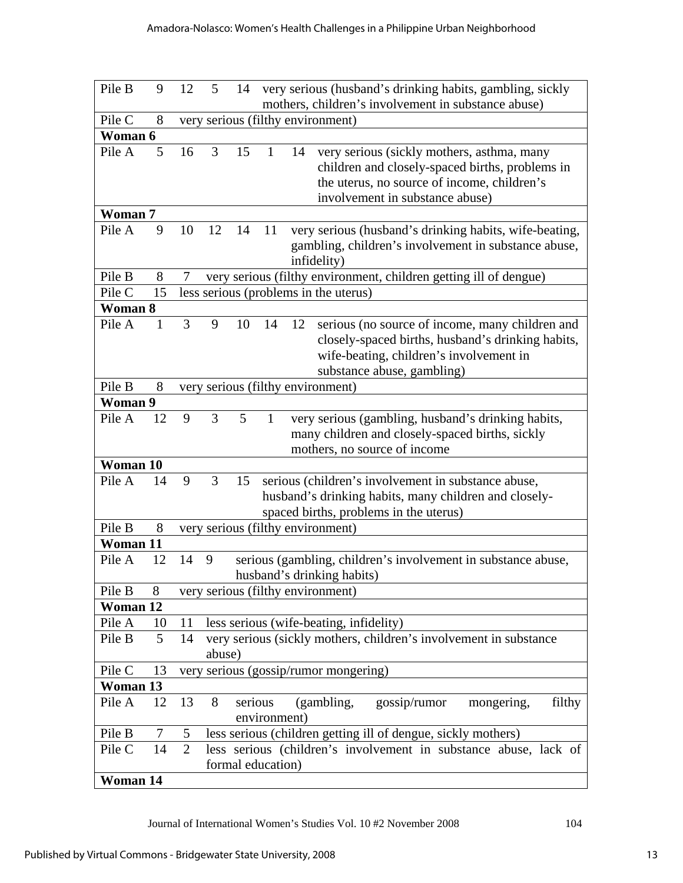| Pile B   | 9  | 12                                | 5      | 14      |                   |    | very serious (husband's drinking habits, gambling, sickly                                                                                                                       |
|----------|----|-----------------------------------|--------|---------|-------------------|----|---------------------------------------------------------------------------------------------------------------------------------------------------------------------------------|
|          |    |                                   |        |         |                   |    | mothers, children's involvement in substance abuse)                                                                                                                             |
| Pile C   | 8  | very serious (filthy environment) |        |         |                   |    |                                                                                                                                                                                 |
| Woman 6  |    |                                   |        |         |                   |    |                                                                                                                                                                                 |
| Pile A   | 5  | 16                                | 3      | 15      | $\mathbf{1}$      | 14 | very serious (sickly mothers, asthma, many<br>children and closely-spaced births, problems in<br>the uterus, no source of income, children's<br>involvement in substance abuse) |
| Woman 7  |    |                                   |        |         |                   |    |                                                                                                                                                                                 |
| Pile A   | 9  | 10                                | 12     | 14      | 11                |    | very serious (husband's drinking habits, wife-beating,<br>gambling, children's involvement in substance abuse,<br>infidelity)                                                   |
| Pile B   | 8  | 7                                 |        |         |                   |    | very serious (filthy environment, children getting ill of dengue)                                                                                                               |
| Pile C   | 15 |                                   |        |         |                   |    | less serious (problems in the uterus)                                                                                                                                           |
| Woman 8  |    |                                   |        |         |                   |    |                                                                                                                                                                                 |
| Pile A   | 1  | 3                                 | 9      | 10      | 14                | 12 | serious (no source of income, many children and<br>closely-spaced births, husband's drinking habits,<br>wife-beating, children's involvement in<br>substance abuse, gambling)   |
| Pile B   | 8  |                                   |        |         |                   |    | very serious (filthy environment)                                                                                                                                               |
| Woman 9  |    |                                   |        |         |                   |    |                                                                                                                                                                                 |
| Pile A   | 12 | 9                                 | 3      | 5       | $\mathbf{1}$      |    | very serious (gambling, husband's drinking habits,<br>many children and closely-spaced births, sickly<br>mothers, no source of income                                           |
| Woman 10 |    |                                   |        |         |                   |    |                                                                                                                                                                                 |
| Pile A   | 14 | 9                                 | 3      | 15      |                   |    | serious (children's involvement in substance abuse,<br>husband's drinking habits, many children and closely-<br>spaced births, problems in the uterus)                          |
| Pile B   | 8  |                                   |        |         |                   |    | very serious (filthy environment)                                                                                                                                               |
| Woman 11 |    |                                   |        |         |                   |    |                                                                                                                                                                                 |
| Pile A   | 12 | 14                                | 9      |         |                   |    | serious (gambling, children's involvement in substance abuse,<br>husband's drinking habits)                                                                                     |
| Pile B   | 8  |                                   |        |         |                   |    | very serious (filthy environment)                                                                                                                                               |
| Woman 12 |    |                                   |        |         |                   |    |                                                                                                                                                                                 |
| Pile A   | 10 | 11                                |        |         |                   |    | less serious (wife-beating, infidelity)                                                                                                                                         |
| Pile B   | 5  | 14                                |        |         |                   |    | very serious (sickly mothers, children's involvement in substance                                                                                                               |
|          |    |                                   | abuse) |         |                   |    |                                                                                                                                                                                 |
| Pile C   | 13 |                                   |        |         |                   |    | very serious (gossip/rumor mongering)                                                                                                                                           |
| Woman 13 |    |                                   |        |         |                   |    |                                                                                                                                                                                 |
| Pile A   | 12 | 13                                | 8      | serious | environment)      |    | gossip/rumor<br>(gambling,<br>filthy<br>mongering,                                                                                                                              |
| Pile B   | 7  | 5                                 |        |         |                   |    | less serious (children getting ill of dengue, sickly mothers)                                                                                                                   |
| Pile C   | 14 | $\overline{2}$                    |        |         | formal education) |    | less serious (children's involvement in substance abuse, lack of                                                                                                                |
| Woman 14 |    |                                   |        |         |                   |    |                                                                                                                                                                                 |

Journal of International Women's Studies Vol. 10 #2 November 2008 104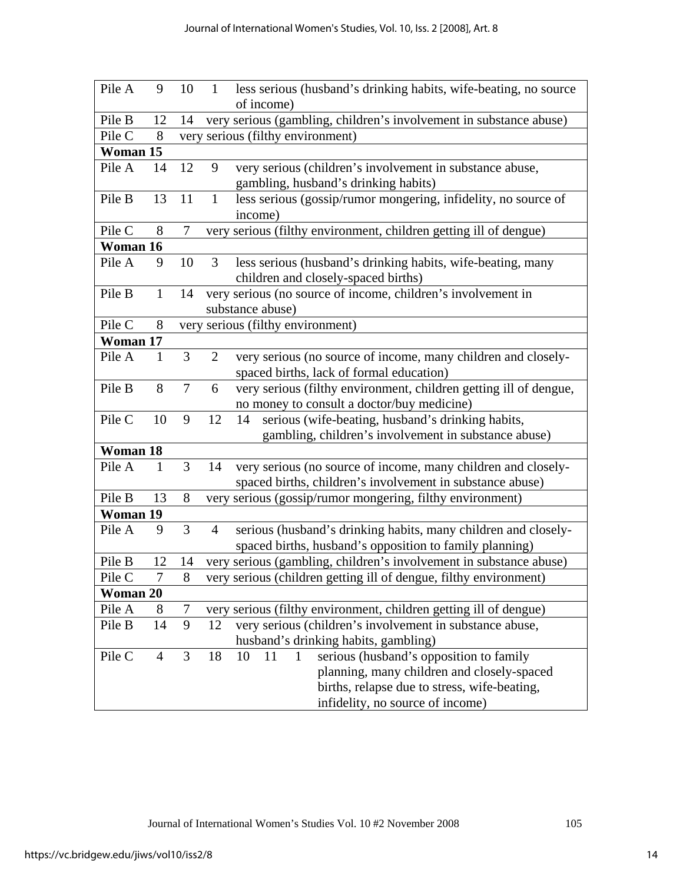| Pile A                | 9              | 10             | $\mathbf{1}$                         | less serious (husband's drinking habits, wife-beating, no source   |  |  |  |  |  |
|-----------------------|----------------|----------------|--------------------------------------|--------------------------------------------------------------------|--|--|--|--|--|
|                       |                |                |                                      | of income)                                                         |  |  |  |  |  |
| Pile B                | 12             | 14             |                                      | very serious (gambling, children's involvement in substance abuse) |  |  |  |  |  |
| Pile C                | 8              |                | serious (filthy environment)<br>very |                                                                    |  |  |  |  |  |
| Woman 15              |                |                |                                      |                                                                    |  |  |  |  |  |
| Pile A                | 14             | 12             | 9                                    | very serious (children's involvement in substance abuse,           |  |  |  |  |  |
|                       |                |                |                                      | gambling, husband's drinking habits)                               |  |  |  |  |  |
| Pile B                | 13             | 11             | $\mathbf{1}$                         | less serious (gossip/rumor mongering, infidelity, no source of     |  |  |  |  |  |
|                       |                |                |                                      | income)                                                            |  |  |  |  |  |
| Pile C                | 8              | $\overline{7}$ | very                                 | serious (filthy environment, children getting ill of dengue)       |  |  |  |  |  |
| Woman $\overline{16}$ |                |                |                                      |                                                                    |  |  |  |  |  |
| Pile A                | 9              | 10             | 3                                    | less serious (husband's drinking habits, wife-beating, many        |  |  |  |  |  |
|                       |                |                |                                      | children and closely-spaced births)                                |  |  |  |  |  |
| Pile B                | $\mathbf{1}$   | 14             |                                      | very serious (no source of income, children's involvement in       |  |  |  |  |  |
|                       |                |                |                                      | substance abuse)                                                   |  |  |  |  |  |
| Pile C                | 8              |                |                                      | very serious (filthy environment)                                  |  |  |  |  |  |
| Woman 17              |                |                |                                      |                                                                    |  |  |  |  |  |
| Pile A                | $\mathbf{1}$   | 3              | $\overline{2}$                       | very serious (no source of income, many children and closely-      |  |  |  |  |  |
|                       |                |                |                                      | spaced births, lack of formal education)                           |  |  |  |  |  |
| Pile B                | 8              | 7              | 6                                    | very serious (filthy environment, children getting ill of dengue,  |  |  |  |  |  |
|                       |                |                |                                      | no money to consult a doctor/buy medicine)                         |  |  |  |  |  |
| Pile C                | 10             | 9              | 12                                   | serious (wife-beating, husband's drinking habits,<br>14            |  |  |  |  |  |
|                       |                |                |                                      | gambling, children's involvement in substance abuse)               |  |  |  |  |  |
| Woman 18              |                |                |                                      |                                                                    |  |  |  |  |  |
| Pile A                | $\mathbf{1}$   | 3              | 14                                   | very serious (no source of income, many children and closely-      |  |  |  |  |  |
|                       |                |                |                                      | spaced births, children's involvement in substance abuse)          |  |  |  |  |  |
| Pile B                | 13             | 8              |                                      | very serious (gossip/rumor mongering, filthy environment)          |  |  |  |  |  |
| Woman 19              |                |                |                                      |                                                                    |  |  |  |  |  |
| Pile A                | 9              | 3              | $\overline{4}$                       | serious (husband's drinking habits, many children and closely-     |  |  |  |  |  |
|                       |                |                |                                      | spaced births, husband's opposition to family planning)            |  |  |  |  |  |
| Pile B                | 12             | 14             |                                      | very serious (gambling, children's involvement in substance abuse) |  |  |  |  |  |
| Pile C                | 7              | 8              |                                      | very serious (children getting ill of dengue, filthy environment)  |  |  |  |  |  |
| Woman 20              |                |                |                                      |                                                                    |  |  |  |  |  |
| Pile A                | 8              | 7              |                                      | very serious (filthy environment, children getting ill of dengue)  |  |  |  |  |  |
| Pile B                | 14             | 9              | 12                                   | very serious (children's involvement in substance abuse,           |  |  |  |  |  |
|                       |                |                |                                      | husband's drinking habits, gambling)                               |  |  |  |  |  |
| Pile C                | $\overline{4}$ | 3              | 18                                   | serious (husband's opposition to family<br>11<br>10<br>1           |  |  |  |  |  |
|                       |                |                |                                      | planning, many children and closely-spaced                         |  |  |  |  |  |
|                       |                |                |                                      | births, relapse due to stress, wife-beating,                       |  |  |  |  |  |
|                       |                |                |                                      | infidelity, no source of income)                                   |  |  |  |  |  |